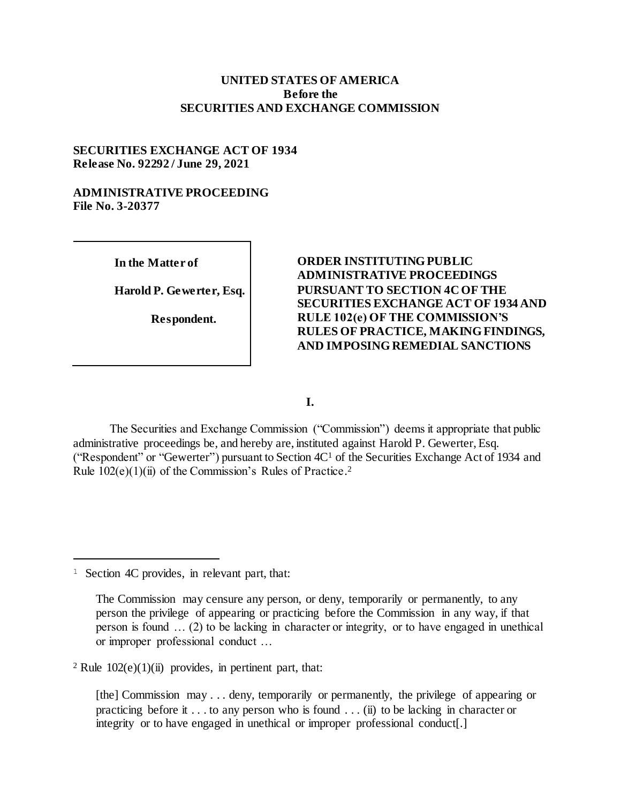### **UNITED STATES OF AMERICA Before the SECURITIES AND EXCHANGE COMMISSION**

## **SECURITIES EXCHANGE ACT OF 1934 Release No. 92292 / June 29, 2021**

## **ADMINISTRATIVE PROCEEDING File No. 3-20377**

**In the Matter of**

**Harold P. Gewerter, Esq.**

**Respondent.**

# **ORDER INSTITUTING PUBLIC ADMINISTRATIVE PROCEEDINGS PURSUANT TO SECTION 4C OF THE SECURITIES EXCHANGE ACT OF 1934 AND RULE 102(e) OF THE COMMISSION'S RULES OF PRACTICE, MAKING FINDINGS, AND IMPOSING REMEDIAL SANCTIONS**

**I.**

The Securities and Exchange Commission ("Commission") deems it appropriate that public administrative proceedings be, and hereby are, instituted against Harold P. Gewerter, Esq. ("Respondent" or "Gewerter") pursuant to Section 4C<sup>1</sup> of the Securities Exchange Act of 1934 and Rule 102(e)(1)(ii) of the Commission's Rules of Practice.<sup>2</sup>

j

<sup>&</sup>lt;sup>1</sup> Section 4C provides, in relevant part, that:

The Commission may censure any person, or deny, temporarily or permanently, to any person the privilege of appearing or practicing before the Commission in any way, if that person is found … (2) to be lacking in character or integrity, or to have engaged in unethical or improper professional conduct …

<sup>&</sup>lt;sup>2</sup> Rule  $102(e)(1)(ii)$  provides, in pertinent part, that:

<sup>[</sup>the] Commission may . . . deny, temporarily or permanently, the privilege of appearing or practicing before it . . . to any person who is found . . . (ii) to be lacking in character or integrity or to have engaged in unethical or improper professional conduct[.]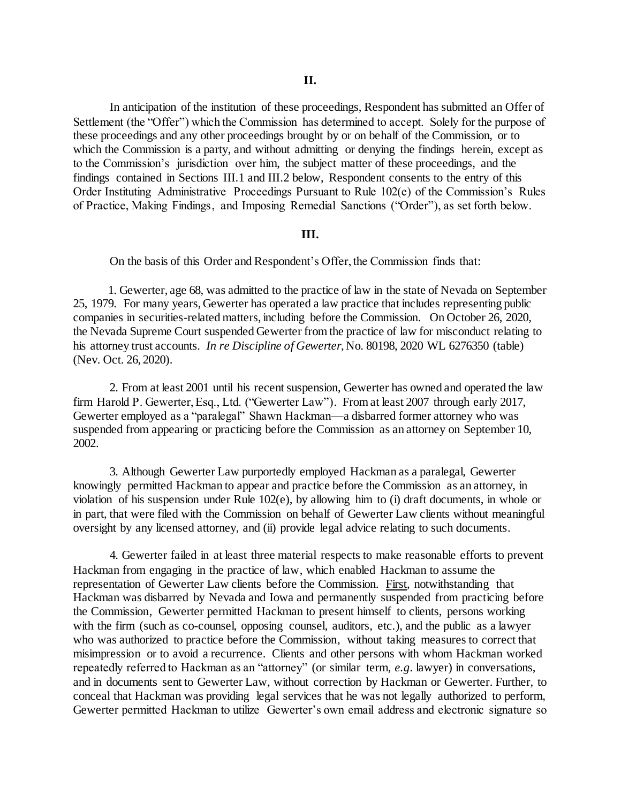In anticipation of the institution of these proceedings, Respondent has submitted an Offer of Settlement (the "Offer") which the Commission has determined to accept. Solely for the purpose of these proceedings and any other proceedings brought by or on behalf of the Commission, or to which the Commission is a party, and without admitting or denying the findings herein, except as to the Commission's jurisdiction over him, the subject matter of these proceedings, and the findings contained in Sections III.1 and III.2 below, Respondent consents to the entry of this Order Instituting Administrative Proceedings Pursuant to Rule 102(e) of the Commission's Rules of Practice, Making Findings, and Imposing Remedial Sanctions ("Order"), as set forth below.

### **III.**

On the basis of this Order and Respondent's Offer, the Commission finds that:

 1. Gewerter, age 68, was admitted to the practice of law in the state of Nevada on September 25, 1979. For many years, Gewerter has operated a law practice that includes representing public companies in securities-related matters, including before the Commission. On October 26, 2020, the Nevada Supreme Court suspended Gewerter from the practice of law for misconduct relating to his attorney trust accounts. *In re Discipline of Gewerter*, No. 80198, 2020 WL 6276350 (table) (Nev. Oct. 26, 2020).

2. From at least 2001 until his recent suspension, Gewerter has owned and operated the law firm Harold P. Gewerter, Esq., Ltd. ("Gewerter Law"). From at least 2007 through early 2017, Gewerter employed as a "paralegal" Shawn Hackman—a disbarred former attorney who was suspended from appearing or practicing before the Commission as an attorney on September 10, 2002.

3. Although Gewerter Law purportedly employed Hackman as a paralegal, Gewerter knowingly permitted Hackman to appear and practice before the Commission as an attorney, in violation of his suspension under Rule 102(e), by allowing him to (i) draft documents, in whole or in part, that were filed with the Commission on behalf of Gewerter Law clients without meaningful oversight by any licensed attorney, and (ii) provide legal advice relating to such documents.

4. Gewerter failed in at least three material respects to make reasonable efforts to prevent Hackman from engaging in the practice of law, which enabled Hackman to assume the representation of Gewerter Law clients before the Commission. First, notwithstanding that Hackman was disbarred by Nevada and Iowa and permanently suspended from practicing before the Commission, Gewerter permitted Hackman to present himself to clients, persons working with the firm (such as co-counsel, opposing counsel, auditors, etc.), and the public as a lawyer who was authorized to practice before the Commission, without taking measures to correct that misimpression or to avoid a recurrence. Clients and other persons with whom Hackman worked repeatedly referred to Hackman as an "attorney" (or similar term, *e.g.* lawyer) in conversations, and in documents sent to Gewerter Law, without correction by Hackman or Gewerter. Further, to conceal that Hackman was providing legal services that he was not legally authorized to perform, Gewerter permitted Hackman to utilize Gewerter's own email address and electronic signature so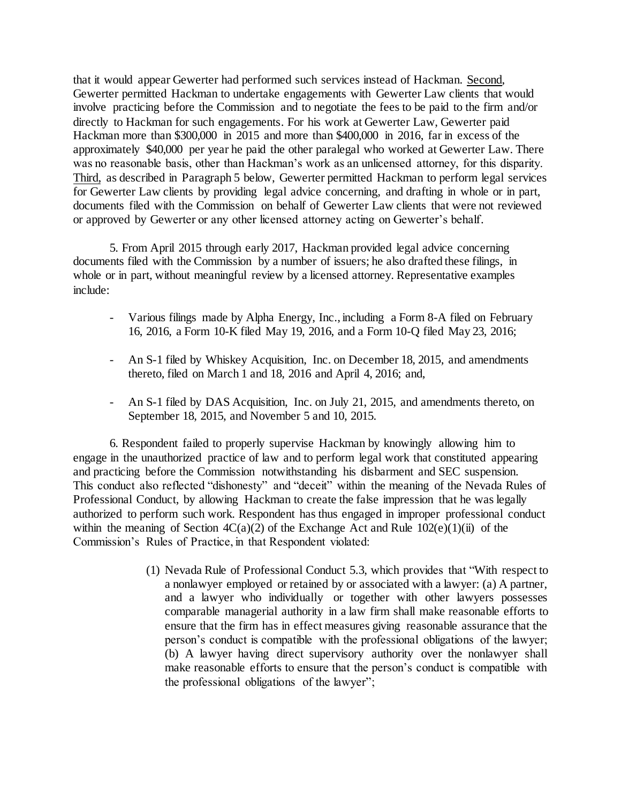that it would appear Gewerter had performed such services instead of Hackman. Second, Gewerter permitted Hackman to undertake engagements with Gewerter Law clients that would involve practicing before the Commission and to negotiate the fees to be paid to the firm and/or directly to Hackman for such engagements. For his work at Gewerter Law, Gewerter paid Hackman more than \$300,000 in 2015 and more than \$400,000 in 2016, far in excess of the approximately \$40,000 per year he paid the other paralegal who worked at Gewerter Law. There was no reasonable basis, other than Hackman's work as an unlicensed attorney, for this disparity. Third, as described in Paragraph 5 below, Gewerter permitted Hackman to perform legal services for Gewerter Law clients by providing legal advice concerning, and drafting in whole or in part, documents filed with the Commission on behalf of Gewerter Law clients that were not reviewed or approved by Gewerter or any other licensed attorney acting on Gewerter's behalf.

5. From April 2015 through early 2017, Hackman provided legal advice concerning documents filed with the Commission by a number of issuers; he also drafted these filings, in whole or in part, without meaningful review by a licensed attorney. Representative examples include:

- Various filings made by Alpha Energy, Inc., including a Form 8-A filed on February 16, 2016, a Form 10-K filed May 19, 2016, and a Form 10-Q filed May 23, 2016;
- An S-1 filed by Whiskey Acquisition, Inc. on December 18, 2015, and amendments thereto, filed on March 1 and 18, 2016 and April 4, 2016; and,
- An S-1 filed by DAS Acquisition, Inc. on July 21, 2015, and amendments thereto, on September 18, 2015, and November 5 and 10, 2015.

6. Respondent failed to properly supervise Hackman by knowingly allowing him to engage in the unauthorized practice of law and to perform legal work that constituted appearing and practicing before the Commission notwithstanding his disbarment and SEC suspension. This conduct also reflected "dishonesty" and "deceit" within the meaning of the Nevada Rules of Professional Conduct, by allowing Hackman to create the false impression that he was legally authorized to perform such work. Respondent has thus engaged in improper professional conduct within the meaning of Section  $4C(a)(2)$  of the Exchange Act and Rule  $102(e)(1)(ii)$  of the Commission's Rules of Practice, in that Respondent violated:

> (1) Nevada Rule of Professional Conduct 5.3, which provides that "With respect to a nonlawyer employed or retained by or associated with a lawyer: (a) A partner, and a lawyer who individually or together with other lawyers possesses comparable managerial authority in a law firm shall make reasonable efforts to ensure that the firm has in effect measures giving reasonable assurance that the person's conduct is compatible with the professional obligations of the lawyer; (b) A lawyer having direct supervisory authority over the nonlawyer shall make reasonable efforts to ensure that the person's conduct is compatible with the professional obligations of the lawyer";